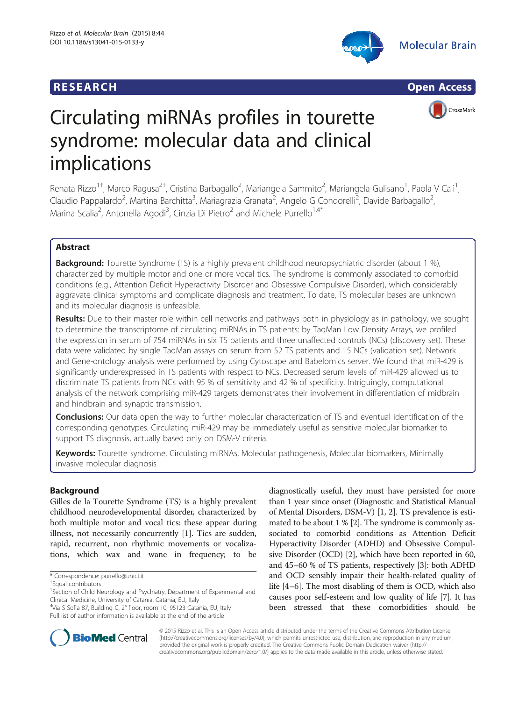## **RESEARCH RESEARCH CONSUMING ACCESS**







# Circulating miRNAs profiles in tourette syndrome: molecular data and clinical implications

Renata Rizzo<sup>1†</sup>, Marco Ragusa<sup>2†</sup>, Cristina Barbagallo<sup>2</sup>, Mariangela Sammito<sup>2</sup>, Mariangela Gulisano<sup>1</sup>, Paola V Calì<sup>1</sup> , Claudio Pappalardo<sup>2</sup>, Martina Barchitta<sup>3</sup>, Mariagrazia Granata<sup>2</sup>, Angelo G Condorelli<sup>2</sup>, Davide Barbagallo<sup>2</sup> , Marina Scalia<sup>2</sup>, Antonella Agodi<sup>3</sup>, Cinzia Di Pietro<sup>2</sup> and Michele Purrello<sup>1,4\*</sup>

## Abstract

**Background:** Tourette Syndrome (TS) is a highly prevalent childhood neuropsychiatric disorder (about 1 %), characterized by multiple motor and one or more vocal tics. The syndrome is commonly associated to comorbid conditions (e.g., Attention Deficit Hyperactivity Disorder and Obsessive Compulsive Disorder), which considerably aggravate clinical symptoms and complicate diagnosis and treatment. To date, TS molecular bases are unknown and its molecular diagnosis is unfeasible.

Results: Due to their master role within cell networks and pathways both in physiology as in pathology, we sought to determine the transcriptome of circulating miRNAs in TS patients: by TaqMan Low Density Arrays, we profiled the expression in serum of 754 miRNAs in six TS patients and three unaffected controls (NCs) (discovery set). These data were validated by single TaqMan assays on serum from 52 TS patients and 15 NCs (validation set). Network and Gene-ontology analysis were performed by using Cytoscape and Babelomics server. We found that miR-429 is significantly underexpressed in TS patients with respect to NCs. Decreased serum levels of miR-429 allowed us to discriminate TS patients from NCs with 95 % of sensitivity and 42 % of specificity. Intriguingly, computational analysis of the network comprising miR-429 targets demonstrates their involvement in differentiation of midbrain and hindbrain and synaptic transmission.

Conclusions: Our data open the way to further molecular characterization of TS and eventual identification of the corresponding genotypes. Circulating miR-429 may be immediately useful as sensitive molecular biomarker to support TS diagnosis, actually based only on DSM-V criteria.

Keywords: Tourette syndrome, Circulating miRNAs, Molecular pathogenesis, Molecular biomarkers, Minimally invasive molecular diagnosis

## Background

Gilles de la Tourette Syndrome (TS) is a highly prevalent childhood neurodevelopmental disorder, characterized by both multiple motor and vocal tics: these appear during illness, not necessarily concurrently [\[1\]](#page-6-0). Tics are sudden, rapid, recurrent, non rhythmic movements or vocalizations, which wax and wane in frequency; to be

diagnostically useful, they must have persisted for more than 1 year since onset (Diagnostic and Statistical Manual of Mental Disorders, DSM-V) [\[1](#page-6-0), [2](#page-6-0)]. TS prevalence is estimated to be about 1 % [[2\]](#page-6-0). The syndrome is commonly associated to comorbid conditions as Attention Deficit Hyperactivity Disorder (ADHD) and Obsessive Compulsive Disorder (OCD) [[2](#page-6-0)], which have been reported in 60, and 45–60 % of TS patients, respectively [\[3](#page-6-0)]: both ADHD and OCD sensibly impair their health-related quality of life [[4](#page-6-0)–[6](#page-7-0)]. The most disabling of them is OCD, which also causes poor self-esteem and low quality of life [[7](#page-7-0)]. It has been stressed that these comorbidities should be



© 2015 Rizzo et al. This is an Open Access article distributed under the terms of the Creative Commons Attribution License [\(http://creativecommons.org/licenses/by/4.0\)](http://creativecommons.org/licenses/by/4.0), which permits unrestricted use, distribution, and reproduction in any medium, provided the original work is properly credited. The Creative Commons Public Domain Dedication waiver [\(http://](http://creativecommons.org/publicdomain/zero/1.0/) [creativecommons.org/publicdomain/zero/1.0/\)](http://creativecommons.org/publicdomain/zero/1.0/) applies to the data made available in this article, unless otherwise stated.

<sup>\*</sup> Correspondence: [purrello@unict.it](mailto:purrello@unict.it) †

Equal contributors

<sup>&</sup>lt;sup>1</sup>Section of Child Neurology and Psychiatry, Department of Experimental and Clinical Medicine, University of Catania, Catania, EU, Italy

<sup>4</sup> Via S Sofia 87, Building C, 2° floor, room 10, 95123 Catania, EU, Italy Full list of author information is available at the end of the article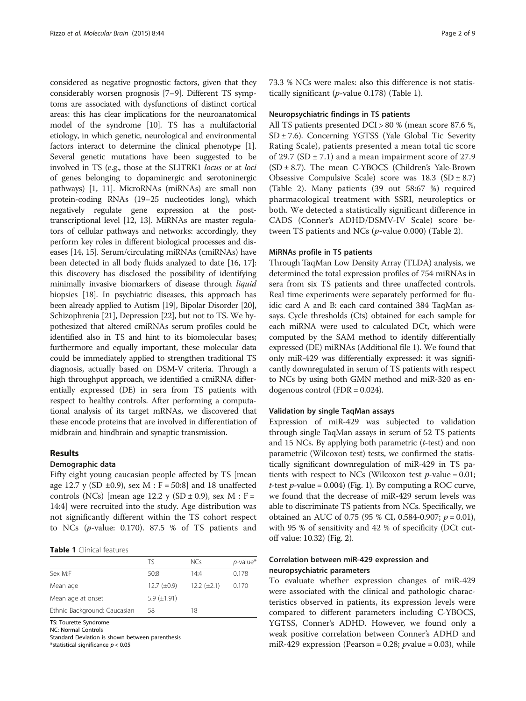<span id="page-1-0"></span>considered as negative prognostic factors, given that they considerably worsen prognosis [\[7](#page-7-0)–[9\]](#page-7-0). Different TS symptoms are associated with dysfunctions of distinct cortical areas: this has clear implications for the neuroanatomical model of the syndrome [\[10](#page-7-0)]. TS has a multifactorial etiology, in which genetic, neurological and environmental factors interact to determine the clinical phenotype [[1](#page-6-0)]. Several genetic mutations have been suggested to be involved in TS (e.g., those at the SLITRK1 locus or at loci of genes belonging to dopaminergic and serotoninergic pathways) [\[1,](#page-6-0) [11\]](#page-7-0). MicroRNAs (miRNAs) are small non protein-coding RNAs (19–25 nucleotides long), which negatively regulate gene expression at the posttranscriptional level [[12](#page-7-0), [13\]](#page-7-0). MiRNAs are master regulators of cellular pathways and networks: accordingly, they perform key roles in different biological processes and diseases [[14](#page-7-0), [15\]](#page-7-0). Serum/circulating miRNAs (cmiRNAs) have been detected in all body fluids analyzed to date [[16](#page-7-0), [17](#page-7-0)]: this discovery has disclosed the possibility of identifying minimally invasive biomarkers of disease through *liquid* biopsies [\[18\]](#page-7-0). In psychiatric diseases, this approach has been already applied to Autism [[19](#page-7-0)], Bipolar Disorder [\[20](#page-7-0)], Schizophrenia [\[21\]](#page-7-0), Depression [\[22\]](#page-7-0), but not to TS. We hypothesized that altered cmiRNAs serum profiles could be identified also in TS and hint to its biomolecular bases; furthermore and equally important, these molecular data could be immediately applied to strengthen traditional TS diagnosis, actually based on DSM-V criteria. Through a high throughput approach, we identified a cmiRNA differentially expressed (DE) in sera from TS patients with respect to healthy controls. After performing a computational analysis of its target mRNAs, we discovered that these encode proteins that are involved in differentiation of midbrain and hindbrain and synaptic transmission.

## Results

#### Demographic data

Fifty eight young caucasian people affected by TS [mean age 12.7 y (SD  $\pm$ 0.9), sex M : F = 50:8] and 18 unaffected controls (NCs) [mean age 12.2 y (SD  $\pm$  0.9), sex M : F = 14:4] were recruited into the study. Age distribution was not significantly different within the TS cohort respect to NCs ( $p$ -value: 0.170). 87.5 % of TS patients and

#### Table 1 Clinical features

|                              | Тς               | N <sub>Cs</sub>  | p-value* |
|------------------------------|------------------|------------------|----------|
| Sex M:F                      | 50:8             | 14.4             | 0.178    |
| Mean age                     | 12.7 $(\pm 0.9)$ | $12.2 (\pm 2.1)$ | 0.170    |
| Mean age at onset            | 5.9 $(\pm 1.91)$ |                  |          |
| Ethnic Background: Caucasian | 58               | 18               |          |

TS: Tourette Syndrome NC: Normal Controls

Standard Deviation is shown between parenthesis

\*statistical significance  $p < 0.05$ 

73.3 % NCs were males: also this difference is not statistically significant (p-value 0.178) (Table 1).

#### Neuropsychiatric findings in TS patients

All TS patients presented DCI > 80 % (mean score 87.6 %, SD ± 7.6). Concerning YGTSS (Yale Global Tic Severity Rating Scale), patients presented a mean total tic score of 29.7 (SD  $\pm$  7.1) and a mean impairment score of 27.9  $(SD \pm 8.7)$ . The mean C-YBOCS (Children's Yale-Brown Obsessive Compulsive Scale) score was  $18.3$  (SD  $\pm$  8.7) (Table [2](#page-2-0)). Many patients (39 out 58:67 %) required pharmacological treatment with SSRI, neuroleptics or both. We detected a statistically significant difference in CADS (Conner's ADHD/DSMV-IV Scale) score between TS patients and NCs  $(p$ -value 0.000) (Table [2\)](#page-2-0).

## MiRNAs profile in TS patients

Through TaqMan Low Density Array (TLDA) analysis, we determined the total expression profiles of 754 miRNAs in sera from six TS patients and three unaffected controls. Real time experiments were separately performed for fluidic card A and B: each card contained 384 TaqMan assays. Cycle thresholds (Cts) obtained for each sample for each miRNA were used to calculated DCt, which were computed by the SAM method to identify differentially expressed (DE) miRNAs (Additional file [1](#page-6-0)). We found that only miR-429 was differentially expressed: it was significantly downregulated in serum of TS patients with respect to NCs by using both GMN method and miR-320 as endogenous control (FDR = 0.024).

## Validation by single TaqMan assays

Expression of miR-429 was subjected to validation through single TaqMan assays in serum of 52 TS patients and 15 NCs. By applying both parametric  $(t$ -test) and non parametric (Wilcoxon test) tests, we confirmed the statistically significant downregulation of miR-429 in TS patients with respect to NCs (Wilcoxon test  $p$ -value = 0.01; *t*-test  $p$ -value = 0.004) (Fig. [1](#page-2-0)). By computing a ROC curve, we found that the decrease of miR-429 serum levels was able to discriminate TS patients from NCs. Specifically, we obtained an AUC of 0.75 (95 % CI, 0.584-0.907;  $p = 0.01$ ), with 95 % of sensitivity and 42 % of specificity (DCt cutoff value: 10.32) (Fig. [2](#page-3-0)).

## Correlation between miR-429 expression and neuropsychiatric parameters

To evaluate whether expression changes of miR-429 were associated with the clinical and pathologic characteristics observed in patients, its expression levels were compared to different parameters including C-YBOCS, YGTSS, Conner's ADHD. However, we found only a weak positive correlation between Conner's ADHD and miR-429 expression (Pearson = 0.28;  $p$ value = 0.03), while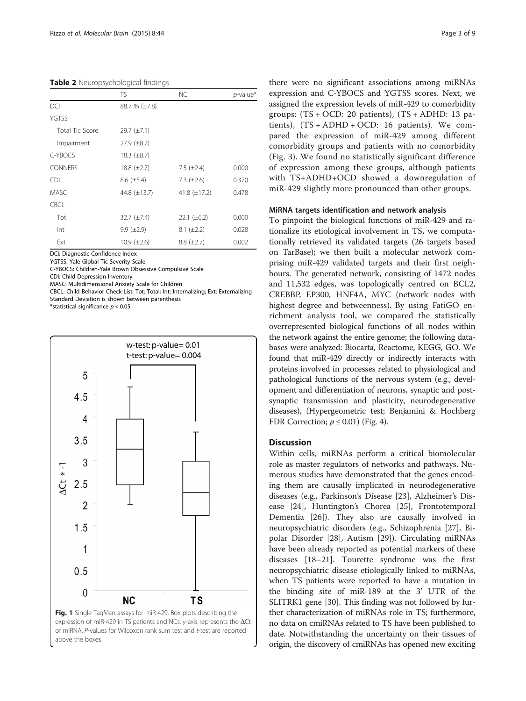<span id="page-2-0"></span>

|  | Table 2 Neuropsychological findings |  |  |
|--|-------------------------------------|--|--|
|--|-------------------------------------|--|--|

|                 | TS.                | NC.               | $p$ -value* |
|-----------------|--------------------|-------------------|-------------|
| DCI             | 88.7 % (±7.8)      |                   |             |
| <b>YGTSS</b>    |                    |                   |             |
| Total Tic Score | $29.7 (\pm 7.1)$   |                   |             |
| Impairment      | $27.9 \ (\pm 8.7)$ |                   |             |
| C-YBOCS         | $18.3 \ (\pm 8.7)$ |                   |             |
| <b>CONNERS</b>  | $18.8 (\pm 2.7)$   | 7.5 $(\pm 2.4)$   | 0.000       |
| <b>CDI</b>      | $8.6 \ (\pm 5.4)$  | 7.3 $(\pm 2.6)$   | 0.370       |
| <b>MASC</b>     | 44.8 $(\pm 13.7)$  | 41.8 $(\pm 17.2)$ | 0.478       |
| CBCL.           |                    |                   |             |
| Tot             | $32.7 (\pm 7.4)$   | 22.1 $(\pm 6.2)$  | 0.000       |
| Int             | $9.9 \ (\pm 2.9)$  | $8.1 (\pm 2.2)$   | 0.028       |
| Ext             | $10.9 \ (\pm 2.6)$ | $8.8 (\pm 2.7)$   | 0.002       |

DCI: Diagnostic Confidence Index

YGTSS: Yale Global Tic Severity Scale

C-YBOCS: Children-Yale Brown Obsessive Compulsive Scale

CDI: Child Depression Inventory

MASC: Multidimensional Anxiety Scale for Children

CBCL: Child Behavior Check-List; Tot: Total; Int: Internalizing; Ext: Externalizing Standard Deviation is shown between parenthesis

\*statistical significance  $p < 0.05$ 



there were no significant associations among miRNAs expression and C-YBOCS and YGTSS scores. Next, we assigned the expression levels of miR-429 to comorbidity groups:  $(TS + OCD: 20$  patients),  $(TS + ADHD: 13$  patients),  $(TS + ADHD + OCD: 16$  patients). We compared the expression of miR-429 among different comorbidity groups and patients with no comorbidity (Fig. [3](#page-3-0)). We found no statistically significant difference of expression among these groups, although patients with TS+ADHD+OCD showed a downregulation of miR-429 slightly more pronounced than other groups.

#### MiRNA targets identification and network analysis

To pinpoint the biological functions of miR-429 and rationalize its etiological involvement in TS, we computationally retrieved its validated targets (26 targets based on TarBase); we then built a molecular network comprising miR-429 validated targets and their first neighbours. The generated network, consisting of 1472 nodes and 11,532 edges, was topologically centred on BCL2, CREBBP, EP300, HNF4A, MYC (network nodes with highest degree and betweenness). By using FatiGO enrichment analysis tool, we compared the statistically overrepresented biological functions of all nodes within the network against the entire genome; the following databases were analyzed: Biocarta, Reactome, KEGG, GO. We found that miR-429 directly or indirectly interacts with proteins involved in processes related to physiological and pathological functions of the nervous system (e.g., development and differentiation of neurons, synaptic and postsynaptic transmission and plasticity, neurodegenerative diseases), (Hypergeometric test; Benjamini & Hochberg FDR Correction;  $p \leq 0.01$ ) (Fig. [4\)](#page-4-0).

## **Discussion**

Within cells, miRNAs perform a critical biomolecular role as master regulators of networks and pathways. Numerous studies have demonstrated that the genes encoding them are causally implicated in neurodegenerative diseases (e.g., Parkinson's Disease [[23\]](#page-7-0), Alzheimer's Disease [[24](#page-7-0)], Huntington's Chorea [\[25](#page-7-0)], Frontotemporal Dementia [[26](#page-7-0)]). They also are causally involved in neuropsychiatric disorders (e.g., Schizophrenia [\[27\]](#page-7-0), Bipolar Disorder [\[28](#page-7-0)], Autism [[29\]](#page-7-0)). Circulating miRNAs have been already reported as potential markers of these diseases [\[18](#page-7-0)–[21\]](#page-7-0). Tourette syndrome was the first neuropsychiatric disease etiologically linked to miRNAs, when TS patients were reported to have a mutation in the binding site of miR-189 at the 3' UTR of the SLITRK1 gene [[30\]](#page-7-0). This finding was not followed by further characterization of miRNAs role in TS; furthermore, no data on cmiRNAs related to TS have been published to date. Notwithstanding the uncertainty on their tissues of origin, the discovery of cmiRNAs has opened new exciting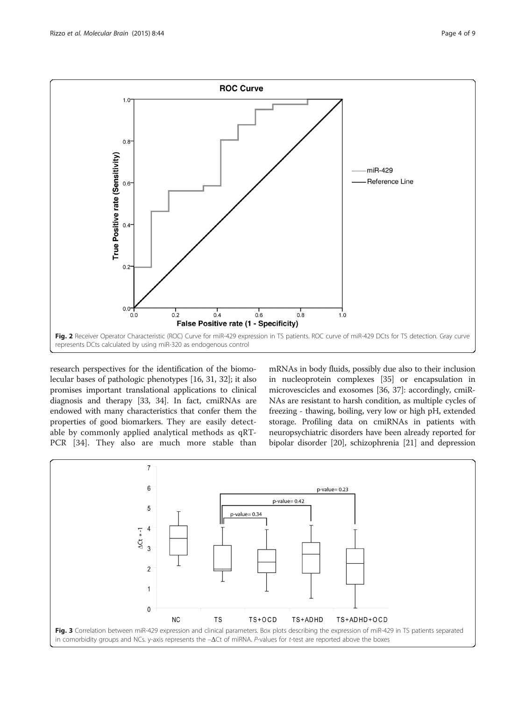<span id="page-3-0"></span>

research perspectives for the identification of the biomolecular bases of pathologic phenotypes [[16](#page-7-0), [31](#page-7-0), [32\]](#page-7-0); it also promises important translational applications to clinical diagnosis and therapy [[33](#page-7-0), [34\]](#page-7-0). In fact, cmiRNAs are endowed with many characteristics that confer them the properties of good biomarkers. They are easily detectable by commonly applied analytical methods as qRT-PCR [[34\]](#page-7-0). They also are much more stable than

mRNAs in body fluids, possibly due also to their inclusion in nucleoprotein complexes [[35](#page-7-0)] or encapsulation in microvescicles and exosomes [\[36](#page-7-0), [37](#page-7-0)]: accordingly, cmiR-NAs are resistant to harsh condition, as multiple cycles of freezing - thawing, boiling, very low or high pH, extended storage. Profiling data on cmiRNAs in patients with neuropsychiatric disorders have been already reported for bipolar disorder [[20](#page-7-0)], schizophrenia [\[21](#page-7-0)] and depression

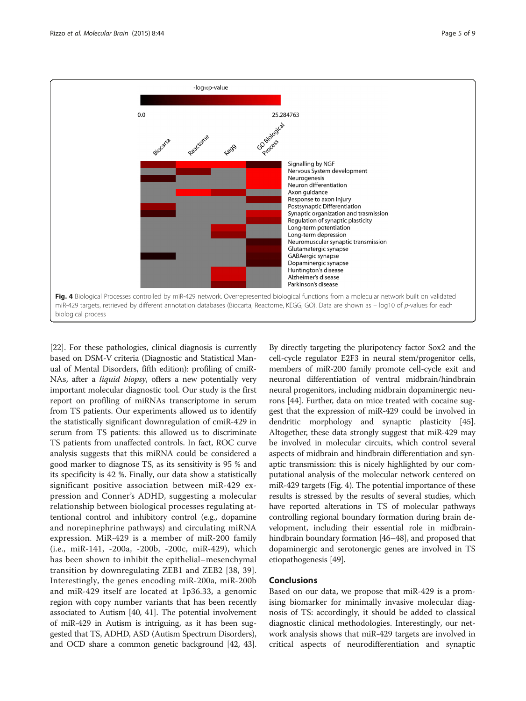<span id="page-4-0"></span>

[[22](#page-7-0)]. For these pathologies, clinical diagnosis is currently based on DSM-V criteria (Diagnostic and Statistical Manual of Mental Disorders, fifth edition): profiling of cmiR-NAs, after a liquid biopsy, offers a new potentially very important molecular diagnostic tool. Our study is the first report on profiling of miRNAs transcriptome in serum from TS patients. Our experiments allowed us to identify the statistically significant downregulation of cmiR-429 in serum from TS patients: this allowed us to discriminate TS patients from unaffected controls. In fact, ROC curve analysis suggests that this miRNA could be considered a good marker to diagnose TS, as its sensitivity is 95 % and its specificity is 42 %. Finally, our data show a statistically significant positive association between miR-429 expression and Conner's ADHD, suggesting a molecular relationship between biological processes regulating attentional control and inhibitory control (e.g., dopamine and norepinephrine pathways) and circulating miRNA expression. MiR-429 is a member of miR-200 family (i.e., miR-141, -200a, -200b, -200c, miR-429), which has been shown to inhibit the epithelial–mesenchymal transition by downregulating ZEB1 and ZEB2 [[38](#page-7-0), [39](#page-7-0)]. Interestingly, the genes encoding miR-200a, miR-200b and miR-429 itself are located at 1p36.33, a genomic region with copy number variants that has been recently associated to Autism [[40](#page-7-0), [41\]](#page-7-0). The potential involvement of miR-429 in Autism is intriguing, as it has been suggested that TS, ADHD, ASD (Autism Spectrum Disorders), and OCD share a common genetic background [\[42, 43](#page-7-0)]. By directly targeting the pluripotency factor Sox2 and the cell-cycle regulator E2F3 in neural stem/progenitor cells, members of miR-200 family promote cell-cycle exit and neuronal differentiation of ventral midbrain/hindbrain neural progenitors, including midbrain dopaminergic neurons [[44](#page-7-0)]. Further, data on mice treated with cocaine suggest that the expression of miR-429 could be involved in dendritic morphology and synaptic plasticity [[45](#page-7-0)]. Altogether, these data strongly suggest that miR-429 may be involved in molecular circuits, which control several aspects of midbrain and hindbrain differentiation and synaptic transmission: this is nicely highlighted by our computational analysis of the molecular network centered on miR-429 targets (Fig. 4). The potential importance of these results is stressed by the results of several studies, which have reported alterations in TS of molecular pathways controlling regional boundary formation during brain development, including their essential role in midbrainhindbrain boundary formation [[46](#page-7-0)–[48\]](#page-7-0), and proposed that dopaminergic and serotonergic genes are involved in TS etiopathogenesis [\[49](#page-7-0)].

## **Conclusions**

Based on our data, we propose that miR-429 is a promising biomarker for minimally invasive molecular diagnosis of TS: accordingly, it should be added to classical diagnostic clinical methodologies. Interestingly, our network analysis shows that miR-429 targets are involved in critical aspects of neurodifferentiation and synaptic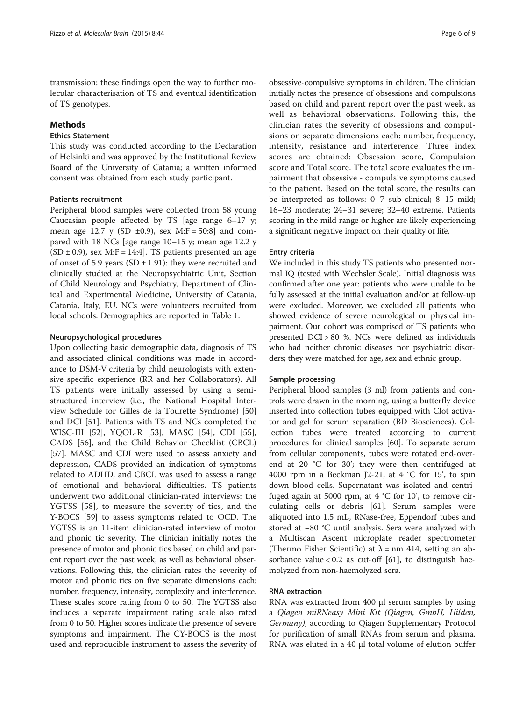transmission: these findings open the way to further molecular characterisation of TS and eventual identification of TS genotypes.

## Methods

## Ethics Statement

This study was conducted according to the Declaration of Helsinki and was approved by the Institutional Review Board of the University of Catania; a written informed consent was obtained from each study participant.

## Patients recruitment

Peripheral blood samples were collected from 58 young Caucasian people affected by TS [age range 6–17 y; mean age 12.7 y (SD  $\pm$ 0.9), sex M:F = 50:8] and compared with 18 NCs [age range 10–15 y; mean age 12.2 y  $(SD \pm 0.9)$ , sex M:F = 14:4]. TS patients presented an age of onset of 5.9 years (SD  $\pm$  1.91): they were recruited and clinically studied at the Neuropsychiatric Unit, Section of Child Neurology and Psychiatry, Department of Clinical and Experimental Medicine, University of Catania, Catania, Italy, EU. NCs were volunteers recruited from local schools. Demographics are reported in Table [1.](#page-1-0)

## Neuropsychological procedures

Upon collecting basic demographic data, diagnosis of TS and associated clinical conditions was made in accordance to DSM-V criteria by child neurologists with extensive specific experience (RR and her Collaborators). All TS patients were initially assessed by using a semistructured interview (i.e., the National Hospital Interview Schedule for Gilles de la Tourette Syndrome) [[50](#page-7-0)] and DCI [[51](#page-7-0)]. Patients with TS and NCs completed the WISC-III [[52\]](#page-7-0), YQOL-R [\[53](#page-7-0)], MASC [\[54](#page-7-0)], CDI [\[55](#page-8-0)], CADS [[56\]](#page-8-0), and the Child Behavior Checklist (CBCL) [[57\]](#page-8-0). MASC and CDI were used to assess anxiety and depression, CADS provided an indication of symptoms related to ADHD, and CBCL was used to assess a range of emotional and behavioral difficulties. TS patients underwent two additional clinician-rated interviews: the YGTSS [\[58\]](#page-8-0), to measure the severity of tics, and the Y-BOCS [\[59\]](#page-8-0) to assess symptoms related to OCD. The YGTSS is an 11-item clinician-rated interview of motor and phonic tic severity. The clinician initially notes the presence of motor and phonic tics based on child and parent report over the past week, as well as behavioral observations. Following this, the clinician rates the severity of motor and phonic tics on five separate dimensions each: number, frequency, intensity, complexity and interference. These scales score rating from 0 to 50. The YGTSS also includes a separate impairment rating scale also rated from 0 to 50. Higher scores indicate the presence of severe symptoms and impairment. The CY-BOCS is the most used and reproducible instrument to assess the severity of

obsessive-compulsive symptoms in children. The clinician initially notes the presence of obsessions and compulsions based on child and parent report over the past week, as well as behavioral observations. Following this, the clinician rates the severity of obsessions and compulsions on separate dimensions each: number, frequency, intensity, resistance and interference. Three index scores are obtained: Obsession score, Compulsion score and Total score. The total score evaluates the impairment that obsessive - compulsive symptoms caused to the patient. Based on the total score, the results can be interpreted as follows: 0–7 sub-clinical; 8–15 mild; 16–23 moderate; 24–31 severe; 32–40 extreme. Patients scoring in the mild range or higher are likely experiencing a significant negative impact on their quality of life.

## Entry criteria

We included in this study TS patients who presented normal IQ (tested with Wechsler Scale). Initial diagnosis was confirmed after one year: patients who were unable to be fully assessed at the initial evaluation and/or at follow-up were excluded. Moreover, we excluded all patients who showed evidence of severe neurological or physical impairment. Our cohort was comprised of TS patients who presented DCI > 80 %. NCs were defined as individuals who had neither chronic diseases nor psychiatric disorders; they were matched for age, sex and ethnic group.

#### Sample processing

Peripheral blood samples (3 ml) from patients and controls were drawn in the morning, using a butterfly device inserted into collection tubes equipped with Clot activator and gel for serum separation (BD Biosciences). Collection tubes were treated according to current procedures for clinical samples [\[60](#page-8-0)]. To separate serum from cellular components, tubes were rotated end-overend at 20 °C for 30'; they were then centrifuged at 4000 rpm in a Beckman J2-21, at 4 °C for 15', to spin down blood cells. Supernatant was isolated and centrifuged again at 5000 rpm, at 4 °C for 10', to remove circulating cells or debris [\[61](#page-8-0)]. Serum samples were aliquoted into 1.5 mL, RNase-free, Eppendorf tubes and stored at −80 °C until analysis. Sera were analyzed with a Multiscan Ascent microplate reader spectrometer (Thermo Fisher Scientific) at  $\lambda$  = nm 414, setting an absorbance value  $< 0.2$  as cut-off [[61\]](#page-8-0), to distinguish haemolyzed from non-haemolyzed sera.

## RNA extraction

RNA was extracted from 400 μl serum samples by using a Qiagen miRNeasy Mini Kit (Qiagen, GmbH, Hilden, Germany), according to Qiagen Supplementary Protocol for purification of small RNAs from serum and plasma. RNA was eluted in a 40 μl total volume of elution buffer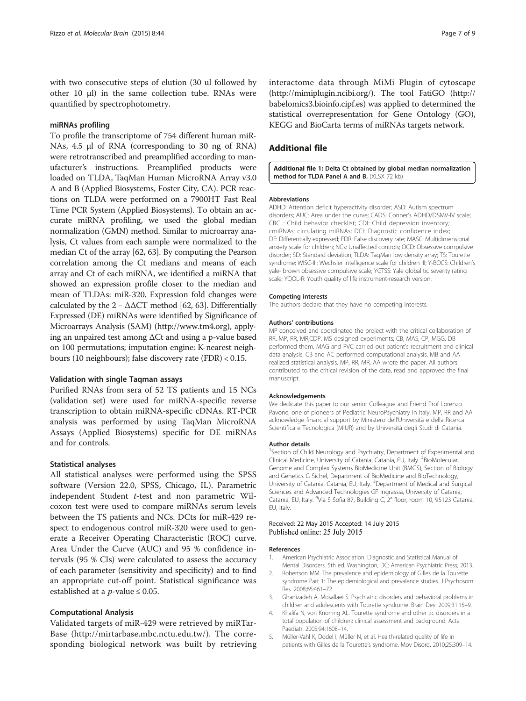<span id="page-6-0"></span>with two consecutive steps of elution (30 ul followed by other 10 μl) in the same collection tube. RNAs were quantified by spectrophotometry.

#### miRNAs profiling

To profile the transcriptome of 754 different human miR-NAs, 4.5 μl of RNA (corresponding to 30 ng of RNA) were retrotranscribed and preamplified according to manufacturer's instructions. Preamplified products were loaded on TLDA, TaqMan Human MicroRNA Array v3.0 A and B (Applied Biosystems, Foster City, CA). PCR reactions on TLDA were performed on a 7900HT Fast Real Time PCR System (Applied Biosystems). To obtain an accurate miRNA profiling, we used the global median normalization (GMN) method. Similar to microarray analysis, Ct values from each sample were normalized to the median Ct of the array [\[62, 63\]](#page-8-0). By computing the Pearson correlation among the Ct medians and means of each array and Ct of each miRNA, we identified a miRNA that showed an expression profile closer to the median and mean of TLDAs: miR-320. Expression fold changes were calculated by the  $2 - \Delta\Delta CT$  method [[62](#page-8-0), [63\]](#page-8-0). Differentially Expressed (DE) miRNAs were identified by Significance of Microarrays Analysis (SAM) [\(http://www.tm4.org](http://www.tm4.org/)), applying an unpaired test among ΔCt and using a p-value based on 100 permutations; imputation engine: K-nearest neighbours (10 neighbours); false discovery rate (FDR) < 0.15.

#### Validation with single Taqman assays

Purified RNAs from sera of 52 TS patients and 15 NCs (validation set) were used for miRNA-specific reverse transcription to obtain miRNA-specific cDNAs. RT-PCR analysis was performed by using TaqMan MicroRNA Assays (Applied Biosystems) specific for DE miRNAs and for controls.

#### Statistical analyses

All statistical analyses were performed using the SPSS software (Version 22.0, SPSS, Chicago, IL). Parametric independent Student t-test and non parametric Wilcoxon test were used to compare miRNAs serum levels between the TS patients and NCs. DCts for miR-429 respect to endogenous control miR-320 were used to generate a Receiver Operating Characteristic (ROC) curve. Area Under the Curve (AUC) and 95 % confidence intervals (95 % CIs) were calculated to assess the accuracy of each parameter (sensitivity and specificity) and to find an appropriate cut-off point. Statistical significance was established at a *p*-value  $\leq$  0.05.

## Computational Analysis

Validated targets of miR-429 were retrieved by miRTar-Base (<http://mirtarbase.mbc.nctu.edu.tw/>). The corresponding biological network was built by retrieving interactome data through MiMi Plugin of cytoscape (<http://mimiplugin.ncibi.org/>). The tool FatiGO ([http://](http://babelomics3.bioinfo.cipf.es/) [babelomics3.bioinfo.cipf.es](http://babelomics3.bioinfo.cipf.es/)) was applied to determined the statistical overrepresentation for Gene Ontology (GO), KEGG and BioCarta terms of miRNAs targets network.

## Additional file

[Additional file 1:](http://www.molecularbrain.com/content/supplementary/s13041-015-0133-y-s1.xlsx) Delta Ct obtained by global median normalization method for TLDA Panel A and B. (XLSX 72 kb)

#### Abbreviations

ADHD: Attention deficit hyperactivity disorder; ASD: Autism spectrum disorders; AUC: Area under the curve; CADS: Conner's ADHD/DSMV-IV scale; CBCL: Child behavior checklist; CDI: Child depression inventory; cmiRNAs: circulating miRNAs; DCI: Diagnostic confidence index; DE: Differentially expressed; FDR: False discovery rate; MASC: Multidimensional anxiety scale for children; NCs: Unaffected controls; OCD: Obsessive compulsive disorder; SD: Standard deviation; TLDA: TaqMan low density array; TS: Tourette syndrome; WISC-III: Wechsler intelligence scale for children III; Y-BOCS: Children's yale- brown obsessive compulsive scale; YGTSS: Yale global tic severity rating scale: YOOL-R: Youth quality of life instrument-research version.

#### Competing interests

The authors declare that they have no competing interests.

#### Authors' contributions

MP conceived and coordinated the project with the critical collaboration of RR. MP, RR, MR,CDP, MS designed experiments; CB, MAS, CP, MGG, DB performed them. MAG and PVC carried out patient's recruitment and clinical data analysis. CB and AC performed computational analysis. MB and AA realized statistical analysis. MP, RR, MR, AA wrote the paper. All authors contributed to the critical revision of the data, read and approved the final manuscript.

#### Acknowledgements

We dedicate this paper to our senior Colleague and Friend Prof Lorenzo Pavone, one of pioneers of Pediatric NeuroPsychiatry in Italy. MP, RR and AA acknowledge financial support by Ministero dell'Università e della Ricerca Scientifica e Tecnologica (MIUR) and by Università degli Studi di Catania.

#### Author details

<sup>1</sup>Section of Child Neurology and Psychiatry, Department of Experimental and Clinical Medicine, University of Catania, Catania, EU, Italy. <sup>2</sup>BioMolecular, Genome and Complex Systems BioMedicine Unit (BMGS), Section of Biology and Genetics G Sichel, Department of BioMedicine and BioTechnology, University of Catania, Catania, EU, Italy. <sup>3</sup>Department of Medical and Surgical Sciences and Advanced Technologies GF Ingrassia, University of Catania, Catania, EU, Italy. <sup>4</sup>Via S Sofia 87, Building C, 2° floor, room 10, 95123 Catania EU, Italy.

#### Received: 22 May 2015 Accepted: 14 July 2015 Published online: 25 July 2015

#### References

- 1. American Psychiatric Association. Diagnostic and Statistical Manual of Mental Disorders. 5th ed. Washington, DC: American Psychiatric Press; 2013.
- 2. Robertson MM. The prevalence and epidemiology of Gilles de la Tourette syndrome Part 1: The epidemiological and prevalence studies. J Psychosom Res. 2008;65:461–72.
- 3. Ghanizadeh A, Mosallaei S. Psychiatric disorders and behavioral problems in children and adolescents with Tourette syndrome. Brain Dev. 2009;31:15–9.
- 4. Khalifa N, von Knorring AL. Tourette syndrome and other tic disorders in a total population of children: clinical assessment and background. Acta Paediatr. 2005;94:1608–14.
- 5. Müller-Vahl K, Dodel I, Müller N, et al. Health-related quality of life in patients with Gilles de la Tourette's syndrome. Mov Disord. 2010;25:309–14.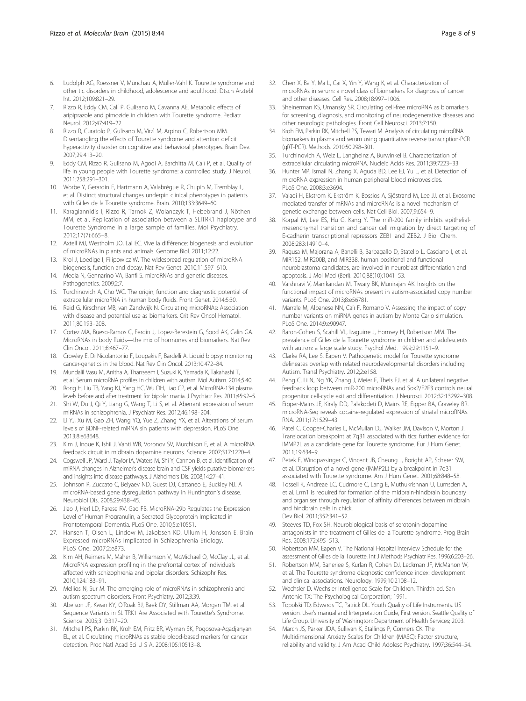- <span id="page-7-0"></span>6. Ludolph AG, Roessner V, Münchau A, Müller-Vahl K. Tourette syndrome and other tic disorders in childhood, adolescence and adulthood. Dtsch Arztebl Int. 2012;109:821–29.
- 7. Rizzo R, Eddy CM, Calí P, Gulisano M, Cavanna AE. Metabolic effects of aripiprazole and pimozide in children with Tourette syndrome. Pediatr Neurol. 2012;47:419–22.
- 8. Rizzo R, Curatolo P, Gulisano M, Virzì M, Arpino C, Robertson MM. Disentangling the effects of Tourette syndrome and attention deficit hyperactivity disorder on cognitive and behavioral phenotypes. Brain Dev. 2007;29:413–20.
- 9. Eddy CM, Rizzo R, Gulisano M, Agodi A, Barchitta M, Calì P, et al. Quality of life in young people with Tourette syndrome: a controlled study. J Neurol. 2011;258:291–301.
- 10. Worbe Y, Gerardin E, Hartmann A, Valabrégue R, Chupin M, Tremblay L, et al. Distinct structural changes underpin clinical phenotypes in patients with Gilles de la Tourette syndrome. Brain. 2010;133:3649–60.
- 11. Karagiannidis I, Rizzo R, Tarnok Z, Wolanczyk T, Hebebrand J, Nöthen MM, et al. Replication of association between a SLITRK1 haplotype and Tourette Syndrome in a large sample of families. Mol Psychiatry. 2012;17(7):665–8.
- 12. Axtell MJ, Westholm JO, Lai EC. Vive la différence: biogenesis and evolution of microRNAs in plants and animals. Genome Biol. 2011;12:22.
- 13. Krol J, Loedige I, Filipowicz W. The widespread regulation of microRNA biogenesis, function and decay. Nat Rev Genet. 2010;11:597–610.
- 14. Meola N, Gennarino VA, Banfi S. microRNAs and genetic diseases. Pathogenetics. 2009;2:7.
- 15. Turchinovich A, Cho WC. The origin, function and diagnostic potential of extracellular microRNA in human body fluids. Front Genet. 2014;5:30.
- 16. Reid G, Kirschner MB, van Zandwijk N. Circulating microRNAs: Association with disease and potential use as biomarkers. Crit Rev Oncol Hematol. 2011;80:193–208.
- 17. Cortez MA, Bueso-Ramos C, Ferdin J, Lopez-Berestein G, Sood AK, Calin GA. MicroRNAs in body fluids—the mix of hormones and biomarkers. Nat Rev Clin Oncol. 2011;8:467–77.
- 18. Crowley E, Di Nicolantonio F, Loupakis F, Bardelli A. Liquid biopsy: monitoring cancer-genetics in the blood. Nat Rev Clin Oncol. 2013;10:472–84.
- 19. Mundalil Vasu M, Anitha A, Thanseem I, Suzuki K, Yamada K, Takahashi T, et al. Serum microRNA profiles in children with autism. Mol Autism. 2014;5:40.
- 20. Rong H, Liu TB, Yang KJ, Yang HC, Wu DH, Liao CP, et al. MicroRNA-134 plasma levels before and after treatment for bipolar mania. J Psychiatr Res. 2011;45:92–5.
- 21. Shi W, Du J, Qi Y, Liang G, Wang T, Li S, et al. Aberrant expression of serum miRNAs in schizophrenia. J Psychiatr Res. 2012;46:198–204.
- 22. Li YJ, Xu M, Gao ZH, Wang YQ, Yue Z, Zhang YX, et al. Alterations of serum levels of BDNF-related miRNA sin patients with depression. PLoS One. 2013;8:e63648.
- 23. Kim J, Inoue K, Ishii J, Vanti WB, Voronov SV, Murchison E, et al. A microRNA feedback circuit in midbrain dopamine neurons. Science. 2007;317:1220–4.
- 24. Cogswell JP, Ward J, Taylor IA, Waters M, Shi Y, Cannon B, et al. Identification of miRNA changes in Alzheimer's disease brain and CSF yields putative biomarkers and insights into disease pathways. J Alzheimers Dis. 2008;14:27–41.
- 25. Johnson R, Zuccato C, Belyaev ND, Guest DJ, Cattaneo E, Buckley NJ. A microRNA-based gene dysregulation pathway in Huntington's disease. Neurobiol Dis. 2008;29:438–45.
- 26. Jiao J, Herl LD, Farese RV, Gao FB. MicroRNA-29b Regulates the Expression Level of Human Progranulin, a Secreted Glycoprotein Implicated in Frontotemporal Dementia. PLoS One. 2010;5:e10551.
- 27. Hansen T, Olsen L, Lindow M, Jakobsen KD, Ullum H, Jonsson E. Brain Expressed microRNAs Implicated in Schizophrenia Etiology. PLoS One. 2007;2:e873.
- 28. Kim AH, Reimers M, Maher B, Williamson V, McMichael O, McClay JL, et al. MicroRNA expression profiling in the prefrontal cortex of individuals affected with schizophrenia and bipolar disorders. Schizophr Res. 2010;124:183–91.
- 29. Mellios N, Sur M. The emerging role of microRNAs in schizophrenia and autism spectrum disorders. Front Psychiatry. 2012;3:39.
- 30. Abelson JF, Kwan KY, O'Roak BJ, Baek DY, Stillman AA, Morgan TM, et al. Sequence Variants in SLITRK1 Are Associated with Tourette's Syndrome. Science. 2005;310:317–20.
- 31. Mitchell PS, Parkin RK, Kroh EM, Fritz BR, Wyman SK, Pogosova-Agadjanyan EL, et al. Circulating microRNAs as stable blood-based markers for cancer detection. Proc Natl Acad Sci U S A. 2008;105:10513–8.
- 32. Chen X, Ba Y, Ma L, Cai X, Yin Y, Wang K, et al. Characterization of microRNAs in serum: a novel class of biomarkers for diagnosis of cancer and other diseases. Cell Res. 2008;18:997–1006.
- 33. Sheinerman KS, Umansky SR. Circulating cell-free microRNA as biomarkers for screening, diagnosis, and monitoring of neurodegenerative diseases and other neurologic pathologies. Front Cell Neurosci. 2013;7:150.
- 34. Kroh EM, Parkin RK, Mitchell PS, Tewari M. Analysis of circulating microRNA biomarkers in plasma and serum using quantitative reverse transcription-PCR (qRT-PCR). Methods. 2010;50:298–301.
- 35. Turchinovich A, Weiz L, Langheinz A, Burwinkel B. Characterization of extracellular circulating microRNA. Nucleic Acids Res. 2011;39:7223–33.
- 36. Hunter MP, Ismail N, Zhang X, Aguda BD, Lee EJ, Yu L, et al. Detection of microRNA expression in human peripheral blood microvesicles. PLoS One. 2008;3:e3694.
- 37. Valadi H, Ekstrom K, Ekström K, Bossios A, Sjöstrand M, Lee JJ, et al. Exosome mediated transfer of mRNAs and microRNAs is a novel mechanism of genetic exchange between cells. Nat Cell Biol. 2007;9:654–9.
- Korpal M, Lee ES, Hu G, Kang Y. The miR-200 family inhibits epithelialmesenchymal transition and cancer cell migration by direct targeting of E-cadherin transcriptional repressors ZEB1 and ZEB2. J Biol Chem. 2008;283:14910–4.
- 39. Ragusa M, Majorana A, Banelli B, Barbagallo D, Statello L, Casciano I, et al. MIR152, MIR200B, and MIR338, human positional and functional neuroblastoma candidates, are involved in neuroblast differentiation and apoptosis. J Mol Med (Berl). 2010;88(10):1041–53.
- 40. Vaishnavi V, Manikandan M, Tiwary BK, Munirajan AK. Insights on the functional impact of microRNAs present in autism-associated copy number variants. PLoS One. 2013;8:e56781.
- 41. Marrale M, Albanese NN, Calì F, Romano V. Assessing the impact of copy number variants on miRNA genes in autism by Monte Carlo simulation. PLoS One. 2014;9:e90947.
- 42. Baron-Cohen S, Scahill VL, Izaguirre J, Hornsey H, Robertson MM. The prevalence of Gilles de la Tourette syndrome in children and adolescents with autism: a large scale study. Psychol Med. 1999;29:1151–9.
- 43. Clarke RA, Lee S, Eapen V. Pathogenetic model for Tourette syndrome delineates overlap with related neurodevelopmental disorders including Autism. Transl Psychiatry. 2012;2:e158.
- 44. Peng C, Li N, Ng YK, Zhang J, Meier F, Theis FJ, et al. A unilateral negative feedback loop between miR-200 microRNAs and Sox2/E2F3 controls neural progenitor cell-cycle exit and differentiation. J Neurosci. 2012;32:13292–308.
- 45. Eipper-Mains JE, Kiraly DD, Palakodeti D, Mains RE, Eipper BA, Graveley BR. microRNA-Seq reveals cocaine-regulated expression of striatal microRNAs. RNA. 2011;17:1529–43.
- 46. Patel C, Cooper-Charles L, McMullan DJ, Walker JM, Davison V, Morton J. Translocation breakpoint at 7q31 associated with tics: further evidence for IMMP2L as a candidate gene for Tourette syndrome. Eur J Hum Genet. 2011;19:634–9.
- 47. Petek E, Windpassinger C, Vincent JB, Cheung J, Boright AP, Scherer SW, et al. Disruption of a novel gene (IMMP2L) by a breakpoint in 7q31 associated with Tourette syndrome. Am J Hum Genet. 2001;68:848–58.
- 48. Tossell K, Andreae LC, Cudmore C, Lang E, Muthukrishnan U, Lumsden A, et al. Lrrn1 is required for formation of the midbrain-hindbrain boundary and organiser through regulation of affinity differences between midbrain and hindbrain cells in chick. Dev Biol. 2011;352:341–52.
- 49. Steeves TD, Fox SH. Neurobiological basis of serotonin-dopamine antagonists in the treatment of Gilles de la Tourette syndrome. Prog Brain Res. 2008;172:495–513.
- 50. Robertson MM, Eapen V. The National Hospital Interview Schedule for the assessment of Gilles de la Tourette. Int J Methods Psychiatr Res. 1996;6:203–26.
- 51. Robertson MM, Banerjee S, Kurlan R, Cohen DJ, Leckman JF, McMahon W, et al. The Tourette syndrome diagnostic confidence index: development and clinical associations. Neurology. 1999;10:2108–12.
- 52. Wechsler D. Wechsler Intelligence Scale for Children. Thirdth ed. San Antonio TX: The Psychological Corporation; 1991.
- 53. Topolski TD, Edwards TC, Patrick DL. Youth Quality of Life Instruments. US version. User's manual and Interpretation Guide, First version, Seattle Quality of Life Group. University of Washington: Department of Health Services; 2003.
- 54. March JS, Parker JDA, Sullivan K, Stallings P, Conners CK. The Multidimensional Anxiety Scales for Children (MASC): Factor structure, reliability and validity. J Am Acad Child Adolesc Psychiatry. 1997;36:544–54.